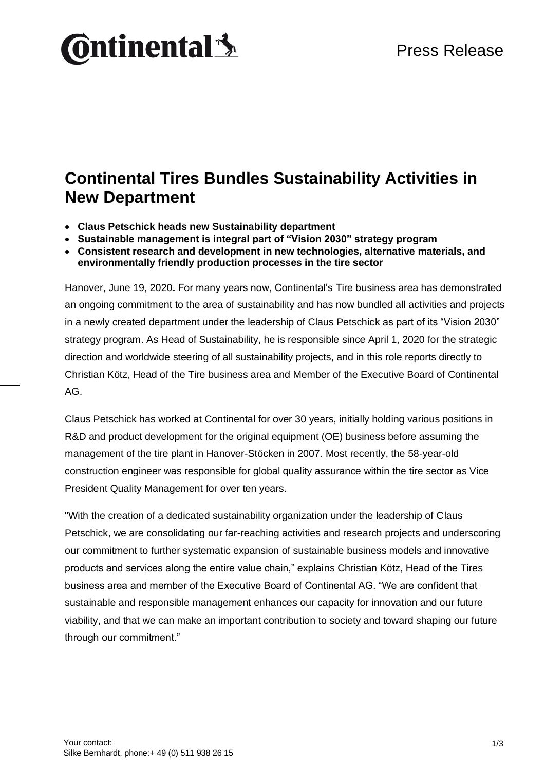# **Ontinental3**

#### **Continental Tires Bundles Sustainability Activities in New Department**

- **Claus Petschick heads new Sustainability department**
- **Sustainable management is integral part of "Vision 2030" strategy program**
- **Consistent research and development in new technologies, alternative materials, and environmentally friendly production processes in the tire sector**

Hanover, June 19, 2020**.** For many years now, Continental's Tire business area has demonstrated an ongoing commitment to the area of sustainability and has now bundled all activities and projects in a newly created department under the leadership of Claus Petschick as part of its "Vision 2030" strategy program. As Head of Sustainability, he is responsible since April 1, 2020 for the strategic direction and worldwide steering of all sustainability projects, and in this role reports directly to Christian Kötz, Head of the Tire business area and Member of the Executive Board of Continental AG.

Claus Petschick has worked at Continental for over 30 years, initially holding various positions in R&D and product development for the original equipment (OE) business before assuming the management of the tire plant in Hanover-Stöcken in 2007. Most recently, the 58-year-old construction engineer was responsible for global quality assurance within the tire sector as Vice President Quality Management for over ten years.

"With the creation of a dedicated sustainability organization under the leadership of Claus Petschick, we are consolidating our far-reaching activities and research projects and underscoring our commitment to further systematic expansion of sustainable business models and innovative products and services along the entire value chain," explains Christian Kötz, Head of the Tires business area and member of the Executive Board of Continental AG. "We are confident that sustainable and responsible management enhances our capacity for innovation and our future viability, and that we can make an important contribution to society and toward shaping our future through our commitment."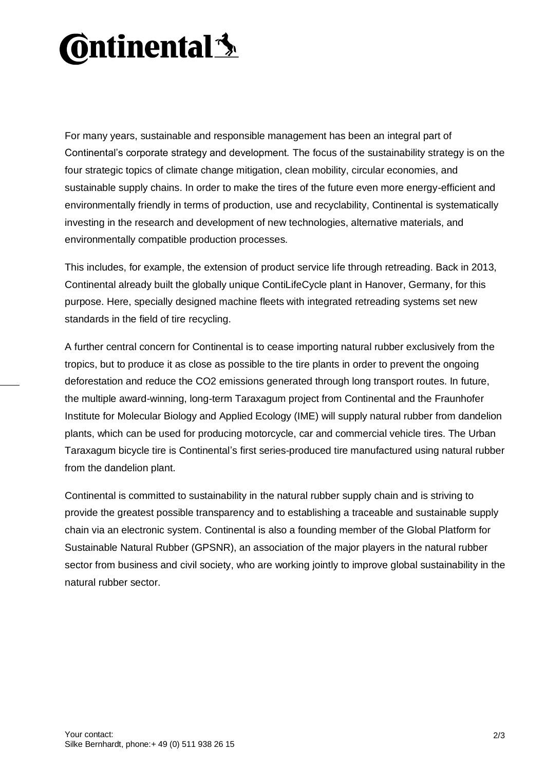## **Ontinental 3**

For many years, sustainable and responsible management has been an integral part of Continental's corporate strategy and development. The focus of the sustainability strategy is on the four strategic topics of climate change mitigation, clean mobility, circular economies, and sustainable supply chains. In order to make the tires of the future even more energy-efficient and environmentally friendly in terms of production, use and recyclability, Continental is systematically investing in the research and development of new technologies, alternative materials, and environmentally compatible production processes.

This includes, for example, the extension of product service life through retreading. Back in 2013, Continental already built the globally unique ContiLifeCycle plant in Hanover, Germany, for this purpose. Here, specially designed machine fleets with integrated retreading systems set new standards in the field of tire recycling.

A further central concern for Continental is to cease importing natural rubber exclusively from the tropics, but to produce it as close as possible to the tire plants in order to prevent the ongoing deforestation and reduce the CO2 emissions generated through long transport routes. In future, the multiple award-winning, long-term Taraxagum project from Continental and the Fraunhofer Institute for Molecular Biology and Applied Ecology (IME) will supply natural rubber from dandelion plants, which can be used for producing motorcycle, car and commercial vehicle tires. The Urban Taraxagum bicycle tire is Continental's first series-produced tire manufactured using natural rubber from the dandelion plant.

Continental is committed to sustainability in the natural rubber supply chain and is striving to provide the greatest possible transparency and to establishing a traceable and sustainable supply chain via an electronic system. Continental is also a founding member of the Global Platform for Sustainable Natural Rubber (GPSNR), an association of the major players in the natural rubber sector from business and civil society, who are working jointly to improve global sustainability in the natural rubber sector.